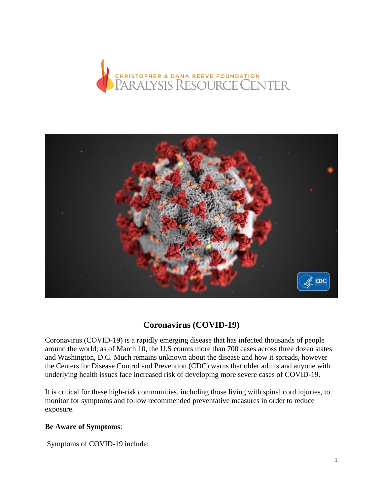



# **Coronavirus (COVID-19)**

Coronavirus (COVID-19) is a rapidly emerging disease that has infected thousands of people around the world; as of March 10, the U.S counts more than 700 cases across three dozen states and Washington, D.C. Much remains unknown about the disease and how it spreads, however the Centers for Disease Control and Prevention (CDC) warns that older adults and anyone with underlying health issues face increased risk of developing more severe cases of COVID-19.

It is critical for these high-risk communities, including those living with spinal cord injuries, to monitor for symptoms and follow recommended preventative measures in order to reduce exposure.

#### **Be Aware of Symptoms**:

Symptoms of COVID-19 include: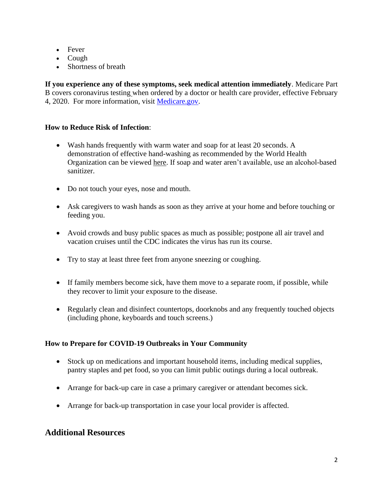- Fever
- Cough
- Shortness of breath

**If you experience any of these symptoms, seek medical attention immediately**. Medicare Part B covers coronavirus testing when ordered by a doctor or health care provider, effective February 4, 2020. For more information, visit [Medicare.gov.](https://www.medicare.gov/coverage/coronavirus-test?utm_campaign=20200305_gmd_prv_gal&utm_content=english&utm_medium=email&utm_source=govdelivery)

### **How to Reduce Risk of Infection**:

- Wash hands frequently with warm water and soap for at least 20 seconds. A demonstration of effective hand-washing as recommended by the World Health Organization can be viewed [here.](https://www.youtube.com/watch?v=IisgnbMfKvI) If soap and water aren't available, use an alcohol-based sanitizer.
- Do not touch your eyes, nose and mouth.
- Ask caregivers to wash hands as soon as they arrive at your home and before touching or feeding you.
- Avoid crowds and busy public spaces as much as possible; postpone all air travel and vacation cruises until the CDC indicates the virus has run its course.
- Try to stay at least three feet from anyone sneezing or coughing.
- If family members become sick, have them move to a separate room, if possible, while they recover to limit your exposure to the disease.
- Regularly clean and disinfect countertops, doorknobs and any frequently touched objects (including phone, keyboards and touch screens.)

### **How to Prepare for COVID-19 Outbreaks in Your Community**

- Stock up on medications and important household items, including medical supplies, pantry staples and pet food, so you can limit public outings during a local outbreak.
- Arrange for back-up care in case a primary caregiver or attendant becomes sick.
- Arrange for back-up transportation in case your local provider is affected.

# **Additional Resources**